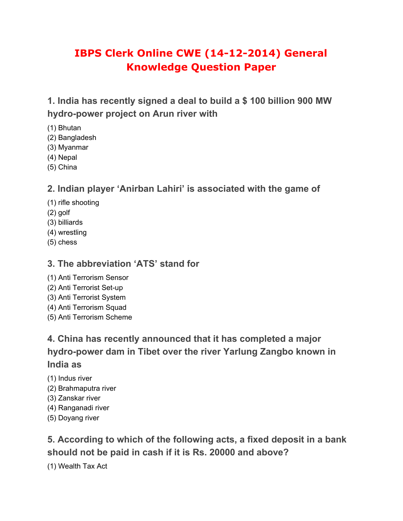# **IBPS Clerk Online CWE (14-12-2014) General Knowledge Question Paper**

**1. India has recently signed a deal to build a \$ 100 billion 900 MW hydro-power project on Arun river with**

- (1) Bhutan
- (2) Bangladesh
- (3) Myanmar
- (4) Nepal
- (5) China

#### **2. Indian player 'Anirban Lahiri' is associated with the game of**

- (1) rifle shooting
- (2) golf
- (3) billiards
- (4) wrestling
- (5) chess

#### **3. The abbreviation 'ATS' stand for**

- (1) Anti Terrorism Sensor
- (2) Anti Terrorist Set-up
- (3) Anti Terrorist System
- (4) Anti Terrorism Squad
- (5) Anti Terrorism Scheme

**4. China has recently announced that it has completed a major hydro-power dam in Tibet over the river Yarlung Zangbo known in India as**

- (1) Indus river
- (2) Brahmaputra river
- (3) Zanskar river
- (4) Ranganadi river
- (5) Doyang river

**5. According to which of the following acts, a fixed deposit in a bank should not be paid in cash if it is Rs. 20000 and above?**

(1) Wealth Tax Act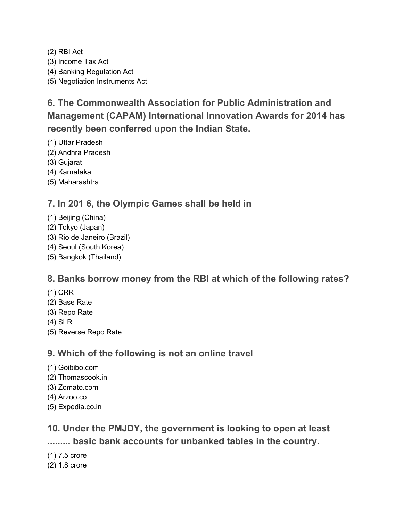(2) RBI Act (3) Income Tax Act (4) Banking Regulation Act (5) Negotiation Instruments Act

**6. The Commonwealth Association for Public Administration and Management (CAPAM) International Innovation Awards for 2014 has recently been conferred upon the Indian State.**

(1) Uttar Pradesh

- (2) Andhra Pradesh
- (3) Gujarat

(4) Karnataka

(5) Maharashtra

#### **7. In 201 6, the Olympic Games shall be held in**

- (1) Beijing (China)
- (2) Tokyo (Japan)
- (3) Rio de Janeiro (Brazil)
- (4) Seoul (South Korea)
- (5) Bangkok (Thailand)

#### **8. Banks borrow money from the RBI at which of the following rates?**

- (1) CRR
- (2) Base Rate
- (3) Repo Rate
- (4) SLR
- (5) Reverse Repo Rate

#### **9. Which of the following is not an online travel**

- (1) Goibibo.com
- (2) Thomascook.in
- (3) Zomato.com
- (4) Arzoo.co
- (5) Expedia.co.in

**10. Under the PMJDY, the government is looking to open at least ......... basic bank accounts for unbanked tables in the country.**

- (1) 7.5 crore
- (2) 1.8 crore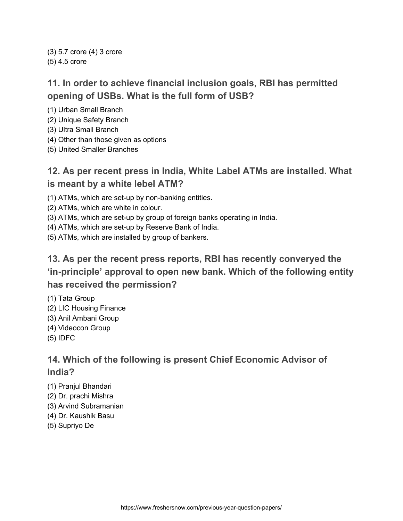(3) 5.7 crore (4) 3 crore (5) 4.5 crore

## **11. In order to achieve financial inclusion goals, RBI has permitted opening of USBs. What is the full form of USB?**

(1) Urban Small Branch

- (2) Unique Safety Branch
- (3) Ultra Small Branch
- (4) Other than those given as options
- (5) United Smaller Branches

#### **12. As per recent press in India, White Label ATMs are installed. What is meant by a white lebel ATM?**

- (1) ATMs, which are set-up by non-banking entities.
- (2) ATMs, which are white in colour.
- (3) ATMs, which are set-up by group of foreign banks operating in India.
- (4) ATMs, which are set-up by Reserve Bank of India.
- (5) ATMs, which are installed by group of bankers.

## **13. As per the recent press reports, RBI has recently converyed the 'in-principle' approval to open new bank. Which of the following entity has received the permission?**

- (1) Tata Group
- (2) LIC Housing Finance
- (3) Anil Ambani Group
- (4) Videocon Group
- (5) IDFC

#### **14. Which of the following is present Chief Economic Advisor of India?**

- (1) Pranjul Bhandari
- (2) Dr. prachi Mishra
- (3) Arvind Subramanian
- (4) Dr. Kaushik Basu
- (5) Supriyo De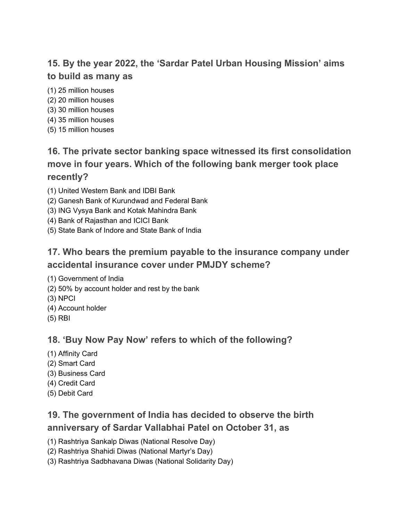# **15. By the year 2022, the 'Sardar Patel Urban Housing Mission' aims to build as many as**

- (1) 25 million houses
- (2) 20 million houses
- (3) 30 million houses
- (4) 35 million houses
- (5) 15 million houses

# **16. The private sector banking space witnessed its first consolidation move in four years. Which of the following bank merger took place recently?**

- (1) United Western Bank and IDBI Bank
- (2) Ganesh Bank of Kurundwad and Federal Bank
- (3) ING Vysya Bank and Kotak Mahindra Bank
- (4) Bank of Rajasthan and ICICI Bank
- (5) State Bank of Indore and State Bank of India

### **17. Who bears the premium payable to the insurance company under accidental insurance cover under PMJDY scheme?**

- (1) Government of India
- (2) 50% by account holder and rest by the bank
- (3) NPCI
- (4) Account holder
- (5) RBI

#### **18. 'Buy Now Pay Now' refers to which of the following?**

- (1) Affinity Card
- (2) Smart Card
- (3) Business Card
- (4) Credit Card
- (5) Debit Card

# **19. The government of India has decided to observe the birth anniversary of Sardar Vallabhai Patel on October 31, as**

(1) Rashtriya Sankalp Diwas (National Resolve Day)

- (2) Rashtriya Shahidi Diwas (National Martyr's Day)
- (3) Rashtriya Sadbhavana Diwas (National Solidarity Day)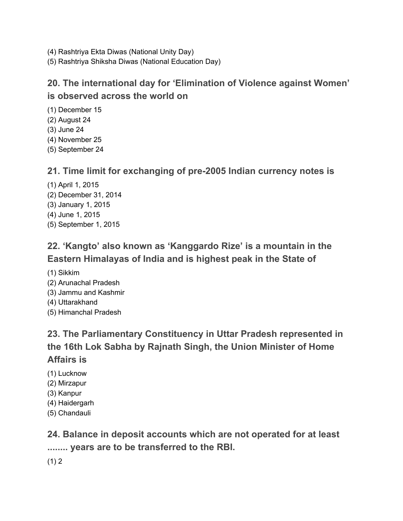- (4) Rashtriya Ekta Diwas (National Unity Day)
- (5) Rashtriya Shiksha Diwas (National Education Day)

### **20. The international day for 'Elimination of Violence against Women' is observed across the world on**

- (1) December 15
- (2) August 24
- (3) June 24
- (4) November 25
- (5) September 24

#### **21. Time limit for exchanging of pre-2005 Indian currency notes is**

(1) April 1, 2015 (2) December 31, 2014 (3) January 1, 2015 (4) June 1, 2015 (5) September 1, 2015

# **22. 'Kangto' also known as 'Kanggardo Rize' is a mountain in the Eastern Himalayas of India and is highest peak in the State of**

- (1) Sikkim
- (2) Arunachal Pradesh
- (3) Jammu and Kashmir
- (4) Uttarakhand
- (5) Himanchal Pradesh

# **23. The Parliamentary Constituency in Uttar Pradesh represented in the 16th Lok Sabha by Rajnath Singh, the Union Minister of Home Affairs is**

- (1) Lucknow
- (2) Mirzapur
- (3) Kanpur
- (4) Haidergarh
- (5) Chandauli

**24. Balance in deposit accounts which are not operated for at least ........ years are to be transferred to the RBI.**

 $(1) 2$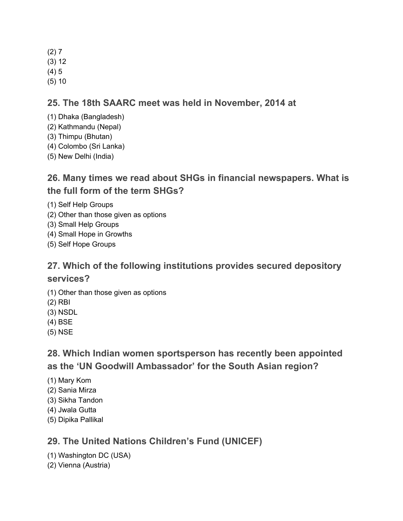- $(2) 7$
- (3) 12
- (4) 5
- (5) 10

#### **25. The 18th SAARC meet was held in November, 2014 at**

- (1) Dhaka (Bangladesh)
- (2) Kathmandu (Nepal)
- (3) Thimpu (Bhutan)
- (4) Colombo (Sri Lanka)
- (5) New Delhi (India)

## **26. Many times we read about SHGs in financial newspapers. What is the full form of the term SHGs?**

- (1) Self Help Groups
- (2) Other than those given as options
- (3) Small Help Groups
- (4) Small Hope in Growths
- (5) Self Hope Groups

# **27. Which of the following institutions provides secured depository**

#### **services?**

- (1) Other than those given as options
- (2) RBI
- (3) NSDL
- (4) BSE
- (5) NSE

## **28. Which Indian women sportsperson has recently been appointed as the 'UN Goodwill Ambassador' for the South Asian region?**

- (1) Mary Kom
- (2) Sania Mirza
- (3) Sikha Tandon
- (4) Jwala Gutta
- (5) Dipika Pallikal

### **29. The United Nations Children's Fund (UNICEF)**

- (1) Washington DC (USA)
- (2) Vienna (Austria)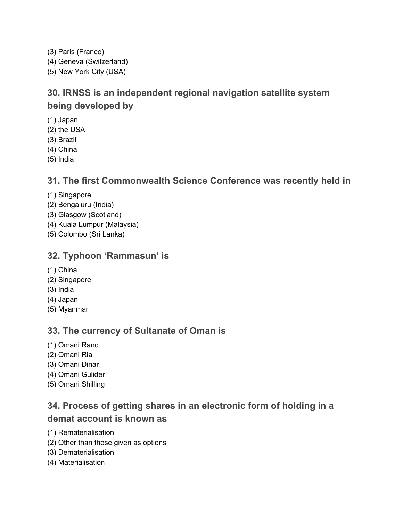(3) Paris (France) (4) Geneva (Switzerland) (5) New York City (USA)

# **30. IRNSS is an independent regional navigation satellite system being developed by**

- (1) Japan
- (2) the USA
- (3) Brazil
- (4) China
- (5) India

#### **31. The first Commonwealth Science Conference was recently held in**

- (1) Singapore
- (2) Bengaluru (India)
- (3) Glasgow (Scotland)
- (4) Kuala Lumpur (Malaysia)
- (5) Colombo (Sri Lanka)

#### **32. Typhoon 'Rammasun' is**

- (1) China
- (2) Singapore
- (3) India
- (4) Japan
- (5) Myanmar

#### **33. The currency of Sultanate of Oman is**

- (1) Omani Rand
- (2) Omani Rial
- (3) Omani Dinar
- (4) Omani Gulider
- (5) Omani Shilling

## **34. Process of getting shares in an electronic form of holding in a demat account is known as**

- (1) Rematerialisation
- (2) Other than those given as options
- (3) Dematerialisation
- (4) Materialisation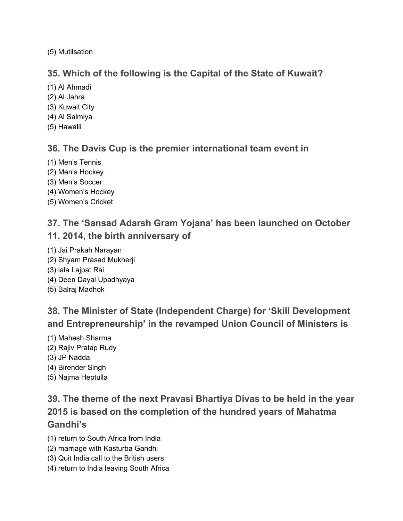(5) Mutilsation

#### **35. Which of the following is the Capital of the State of Kuwait?**

- (1) Al Ahmadi
- (2) Al Jahra
- (3) Kuwait City
- (4) Al Salmiya
- (5) Hawalli

#### **36. The Davis Cup is the premier international team event in**

- (1) Men's Tennis
- (2) Men's Hockey
- (3) Men's Soccer
- (4) Women's Hockey
- (5) Women's Cricket

# **37. The 'Sansad Adarsh Gram Yojana' has been launched on October 11, 2014, the birth anniversary of**

- (1) Jai Prakah Narayan
- (2) Shyam Prasad Mukherji
- (3) lala Lajpat Rai
- (4) Deen Dayal Upadhyaya
- (5) Balraj Madhok

**38. The Minister of State (Independent Charge) for 'Skill Development and Entrepreneurship' in the revamped Union Council of Ministers is**

- (1) Mahesh Sharma
- (2) Rajiv Pratap Rudy
- (3) JP Nadda
- (4) Birender Singh
- (5) Najma Heptulla

# **39. The theme of the next Pravasi Bhartiya Divas to be held in the year 2015 is based on the completion of the hundred years of Mahatma Gandhi's**

- (1) return to South Africa from India
- (2) marriage with Kasturba Gandhi
- (3) Quit India call to the British users
- (4) return to India leaving South Africa